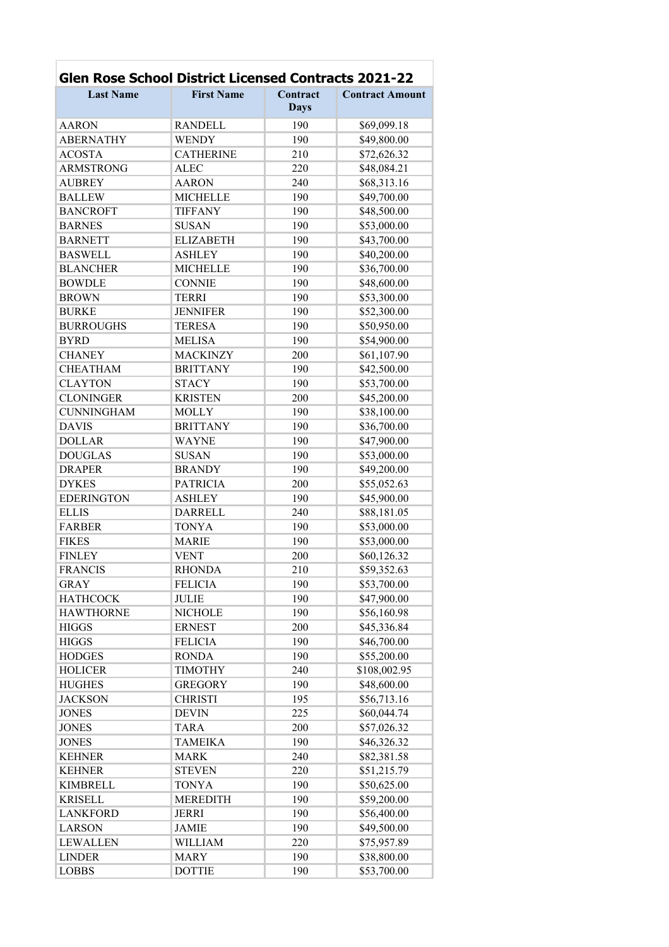| <b>Glen Rose School District Licensed Contracts 2021-22</b> |                   |             |                        |  |
|-------------------------------------------------------------|-------------------|-------------|------------------------|--|
| <b>Last Name</b>                                            | <b>First Name</b> | Contract    | <b>Contract Amount</b> |  |
|                                                             |                   | <b>Days</b> |                        |  |
| <b>AARON</b>                                                | <b>RANDELL</b>    | 190         | \$69,099.18            |  |
| <b>ABERNATHY</b>                                            | <b>WENDY</b>      | 190         | \$49,800.00            |  |
| <b>ACOSTA</b>                                               | <b>CATHERINE</b>  | 210         | \$72,626.32            |  |
| <b>ARMSTRONG</b>                                            | <b>ALEC</b>       | 220         | \$48,084.21            |  |
| <b>AUBREY</b>                                               | <b>AARON</b>      | 240         | \$68,313.16            |  |
| <b>BALLEW</b>                                               | <b>MICHELLE</b>   | 190         | \$49,700.00            |  |
| <b>BANCROFT</b>                                             | <b>TIFFANY</b>    | 190         | \$48,500.00            |  |
| <b>BARNES</b>                                               | <b>SUSAN</b>      | 190         | \$53,000.00            |  |
| <b>BARNETT</b>                                              | <b>ELIZABETH</b>  | 190         | \$43,700.00            |  |
| <b>BASWELL</b>                                              | <b>ASHLEY</b>     | 190         | \$40,200.00            |  |
| <b>BLANCHER</b>                                             | <b>MICHELLE</b>   | 190         | \$36,700.00            |  |
| <b>BOWDLE</b>                                               | <b>CONNIE</b>     | 190         | \$48,600.00            |  |
| <b>BROWN</b>                                                | <b>TERRI</b>      | 190         | \$53,300.00            |  |
| <b>BURKE</b>                                                | <b>JENNIFER</b>   | 190         | \$52,300.00            |  |
| <b>BURROUGHS</b>                                            | <b>TERESA</b>     | 190         | \$50,950.00            |  |
| <b>BYRD</b>                                                 | <b>MELISA</b>     | 190         | \$54,900.00            |  |
| <b>CHANEY</b>                                               | <b>MACKINZY</b>   | 200         | \$61,107.90            |  |
| <b>CHEATHAM</b>                                             | <b>BRITTANY</b>   | 190         | \$42,500.00            |  |
| <b>CLAYTON</b>                                              | <b>STACY</b>      | 190         | \$53,700.00            |  |
| <b>CLONINGER</b>                                            | <b>KRISTEN</b>    | 200         | \$45,200.00            |  |
| <b>CUNNINGHAM</b>                                           | <b>MOLLY</b>      | 190         | \$38,100.00            |  |
| <b>DAVIS</b>                                                | <b>BRITTANY</b>   | 190         | \$36,700.00            |  |
| <b>DOLLAR</b>                                               | <b>WAYNE</b>      | 190         | \$47,900.00            |  |
| <b>DOUGLAS</b>                                              | <b>SUSAN</b>      | 190         | \$53,000.00            |  |
| <b>DRAPER</b>                                               | <b>BRANDY</b>     | 190         | \$49,200.00            |  |
| <b>DYKES</b>                                                | <b>PATRICIA</b>   | 200         | \$55,052.63            |  |
| <b>EDERINGTON</b>                                           | <b>ASHLEY</b>     | 190         | \$45,900.00            |  |
| <b>ELLIS</b>                                                | <b>DARRELL</b>    | 240         | \$88,181.05            |  |
| <b>FARBER</b>                                               | <b>TONYA</b>      | 190         | \$53,000.00            |  |
| <b>FIKES</b>                                                | <b>MARIE</b>      | 190         | \$53,000.00            |  |
| <b>FINLEY</b>                                               | <b>VENT</b>       | 200         | \$60,126.32            |  |
| <b>FRANCIS</b>                                              | <b>RHONDA</b>     | 210         | \$59,352.63            |  |
| GRAY                                                        | <b>FELICIA</b>    | 190         | \$53,700.00            |  |
| <b>HATHCOCK</b>                                             | <b>JULIE</b>      | 190         | \$47,900.00            |  |
| <b>HAWTHORNE</b>                                            | <b>NICHOLE</b>    | 190         | \$56,160.98            |  |
| <b>HIGGS</b>                                                | <b>ERNEST</b>     | 200         | \$45,336.84            |  |
| <b>HIGGS</b>                                                | <b>FELICIA</b>    | 190         | \$46,700.00            |  |
| <b>HODGES</b>                                               | <b>RONDA</b>      | 190         | \$55,200.00            |  |
| <b>HOLICER</b>                                              | <b>TIMOTHY</b>    | 240         | \$108,002.95           |  |
| <b>HUGHES</b>                                               | <b>GREGORY</b>    | 190         | \$48,600.00            |  |
| <b>JACKSON</b>                                              | <b>CHRISTI</b>    | 195         | \$56,713.16            |  |
| <b>JONES</b>                                                | <b>DEVIN</b>      | 225         | \$60,044.74            |  |
| <b>JONES</b>                                                | <b>TARA</b>       | 200         | \$57,026.32            |  |
| <b>JONES</b>                                                | <b>TAMEIKA</b>    | 190         | \$46,326.32            |  |
| <b>KEHNER</b>                                               | <b>MARK</b>       | 240         | \$82,381.58            |  |
| <b>KEHNER</b>                                               | <b>STEVEN</b>     | 220         | \$51,215.79            |  |
| <b>KIMBRELL</b>                                             | <b>TONYA</b>      | 190         | \$50,625.00            |  |
| <b>KRISELL</b>                                              | <b>MEREDITH</b>   | 190         | \$59,200.00            |  |
| <b>LANKFORD</b>                                             | <b>JERRI</b>      | 190         | \$56,400.00            |  |
| <b>LARSON</b>                                               | <b>JAMIE</b>      | 190         | \$49,500.00            |  |
| <b>LEWALLEN</b>                                             | <b>WILLIAM</b>    | 220         | \$75,957.89            |  |
| <b>LINDER</b>                                               | <b>MARY</b>       | 190         | \$38,800.00            |  |
| <b>LOBBS</b>                                                | <b>DOTTIE</b>     | 190         | \$53,700.00            |  |